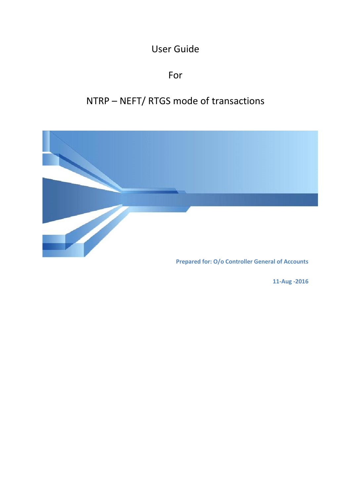User Guide

## For

# NTRP – NEFT/ RTGS mode of transactions



**11-Aug -2016**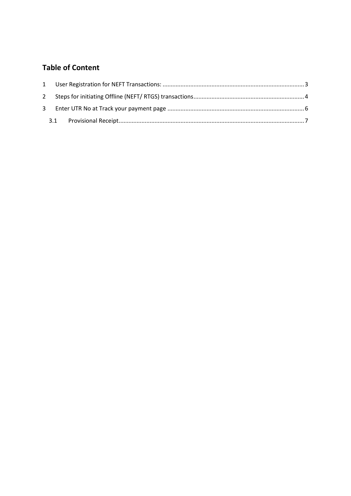#### **Table of Content**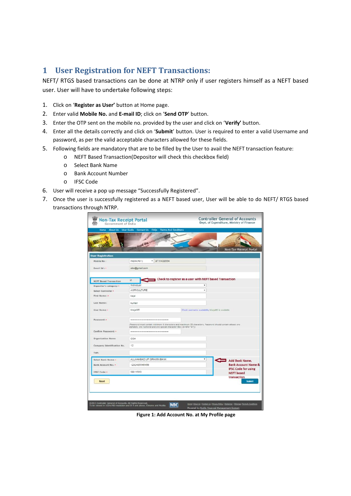#### **1 User Registration for NEFT Transactions:**

NEFT/ RTGS based transactions can be done at NTRP only if user registers himself as a NEFT based user. User will have to undertake following steps:

- 1. Click on '**Register as User'** button at Home page.
- 2. Enter valid **Mobile No.** and **E-mail ID**; click on '**Send OTP**' button.
- 3. Enter the OTP sent on the mobile no. provided by the user and click on '**Verify'** button.
- 4. Enter all the details correctly and click on '**Submit**' button. User is required to enter a valid Username and password, as per the valid acceptable characters allowed for these fields.
- 5. Following fields are mandatory that are to be filled by the User to avail the NEFT transaction feature:
	- o NEFT Based Transaction(Depositor will check this checkbox field)
	- o Select Bank Name
	- o Bank Account Number
	- o IFSC Code
- 6. User will receive a pop up message "Successfully Registered".
- 7. Once the user is successfully registered as a NEFT based user, User will be able to do NEFT/ RTGS based transactions through NTRP.

| <b>Non-Tax Receipt Portal</b><br>Government of India       |                                                                              | <b>Controller General of Accounts</b><br>Dept. of Expenditure, Ministry of Finance                         |
|------------------------------------------------------------|------------------------------------------------------------------------------|------------------------------------------------------------------------------------------------------------|
| <b>About Us User Guide</b><br>Hame                         | <b>Terms And Conditions</b><br>Contact Us<br><b>FADs</b><br>of the summer SW | Non-Tax Receipt Portal                                                                                     |
| <b>User Registration</b>                                   |                                                                              |                                                                                                            |
| Mobile No :                                                | $INDIA(+91)$<br>9711433554<br>۰                                              |                                                                                                            |
| Email 1d : +                                               | abo@gmail.com                                                                |                                                                                                            |
| <b>NEFT Based Transaction</b>                              | ×                                                                            | Check to register as a user with NEFT based Transaction                                                    |
| Depositor's category: -                                    | Individual                                                                   | ٠                                                                                                          |
| Select Controller -                                        | AGRICULTURE                                                                  | ٠                                                                                                          |
| First Name:+                                               | kajal                                                                        |                                                                                                            |
| Last Name:                                                 | kumari                                                                       |                                                                                                            |
| User Name: -                                               | kkaja/85                                                                     | Check username availability kkajalit5 is available.                                                        |
| Password:                                                  | alphabet, one numeral and one special character like [@#5% ^&*])             | (Passeord must contain minimum 6 characters and maximum 25 characters. Password should contain atleast one |
| Confirm Password: -                                        |                                                                              |                                                                                                            |
| <b>Organization Name</b>                                   | CGA                                                                          |                                                                                                            |
| Company Identification No.                                 | 12                                                                           |                                                                                                            |
| TAN:                                                       |                                                                              |                                                                                                            |
| Select Bank Name: •                                        | ALLAHABAD UP GRAMIN BANK                                                     | ٠<br>Add Bank Name,                                                                                        |
| Bank Account No.: .                                        | 1232435545456                                                                | <b>Bank Account Name &amp;</b>                                                                             |
| IFSC Code: +                                               | SBI11563                                                                     | <b>IFSC Code for using</b><br><b>NEFT</b> based                                                            |
| Reset                                                      |                                                                              | transaction<br><b>Submit</b>                                                                               |
|                                                            |                                                                              |                                                                                                            |
| @2015 Controller General of Accounts. All Rights Reserved. | To be viewed in 1024x760 resolution and IE 9 and above, Chrome and Mozilla   | Home! About Us   Contact Us   Privacy Policy   Disclaimer   Siteme) Terms & Constitutes                    |

**Figure 1: Add Account No. at My Profile page**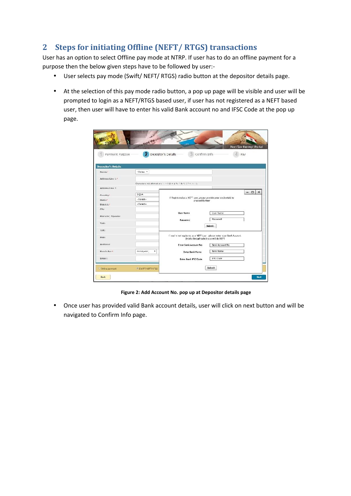### **2 Steps for initiating Offline (NEFT/ RTGS) transactions**

User has an option to select Offline pay mode at NTRP. If user has to do an offline payment for a purpose then the below given steps have to be followed by user:-

- User selects pay mode (Swift/ NEFT/ RTGS) radio button at the depositor details page.
- At the selection of this pay mode radio button, a pop up page will be visible and user will be prompted to login as a NEFT/RTGS based user, if user has not registered as a NEFT based user, then user will have to enter his valid Bank account no and IFSC Code at the pop up page.

|                     | Contage and the STO |                                                                                                                  | Nort-Tax Receipt Portal |
|---------------------|---------------------|------------------------------------------------------------------------------------------------------------------|-------------------------|
| Payment Purpose     |                     | Depositor's Details<br>Confirm Info                                                                              | Pay                     |
| Depositor's Details |                     |                                                                                                                  |                         |
| Name: 1             | $-See be:$          |                                                                                                                  |                         |
| Address Line 1."    |                     |                                                                                                                  |                         |
|                     |                     | Characters not allowed are $\sim$ virgin \$% $\sim$ 5 m ( ) ? k >: 1.                                            |                         |
| Address Line 2      |                     |                                                                                                                  | $\Box$<br>$\times$<br>÷ |
| Country*            | <b>INDIA</b>        |                                                                                                                  |                         |
| Stater <sup>*</sup> | $-5$ elect $-$      | If Registered as a NEFT user, please provide your credentials to<br>proceed further                              |                         |
| District."          | $-Sa$ act $-$       |                                                                                                                  |                         |
| City                |                     |                                                                                                                  |                         |
| Pincode/ Zipcode:   |                     | <b>User Name</b>                                                                                                 | <b>User Name</b>        |
|                     |                     | Password                                                                                                         | Password                |
| TAN:                |                     |                                                                                                                  | Submit:                 |
| TIN:                |                     |                                                                                                                  |                         |
| PAN:                |                     | If you're not regitered as a NEFT-User please enter your Bank Account.<br>details through which you will do NEFT |                         |
| asdbaar:            |                     | <b>Enter Bank Account No</b>                                                                                     | <b>Benk Account No</b>  |
|                     |                     |                                                                                                                  |                         |
| Mobile No:"         | ٠<br>$INIDA(+9.1)$  | <b>Enter Bank Name</b>                                                                                           | Bank Name               |
| Email:              |                     | Enter Bank IFSC Code                                                                                             | IFM Core                |
|                     |                     |                                                                                                                  |                         |

**Figure 2: Add Account No. pop up at Depositor details page**

 Once user has provided valid Bank account details, user will click on next button and will be navigated to Confirm Info page.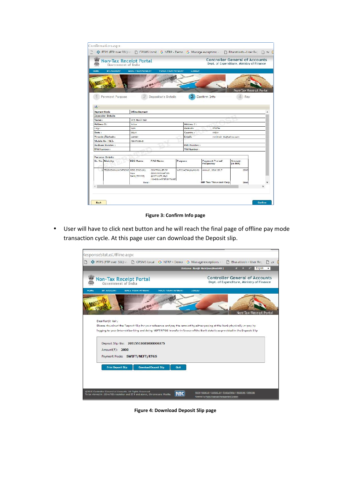|                     |                                                      |                                 | EXPS (FTP over SSI) = [ CPSMS Local G NTRP - Demo G Manage exceptions -        |         |                                   |                                                   |  | n Bharatcosh - Liser Rec                                                           |  | $\bigcap$ 7x $\bigcap$ |
|---------------------|------------------------------------------------------|---------------------------------|--------------------------------------------------------------------------------|---------|-----------------------------------|---------------------------------------------------|--|------------------------------------------------------------------------------------|--|------------------------|
|                     | <b>Non-Tax Receipt Portal</b><br>Government of India |                                 |                                                                                |         |                                   |                                                   |  | <b>Controller General of Accounts</b><br>Dept, of Expenditure, Ministry of Finance |  |                        |
| <b>I IDMC</b>       | MY ACCOUNT                                           | <b>MAKE YOUR PAYMENT</b>        | <b>TRACK YOUR PAYMENT</b>                                                      |         | <b>LOGOUT</b>                     |                                                   |  |                                                                                    |  |                        |
|                     | Payment Purpose                                      |                                 | Ford dish some award !!<br>Depositor's Details                                 |         |                                   | Confirm Info                                      |  | Non-Tax Receipt Portal<br>Fay                                                      |  |                        |
| ᇦ.                  |                                                      |                                 |                                                                                |         |                                   |                                                   |  |                                                                                    |  |                        |
| <b>Payment Mode</b> |                                                      | <b>Offline Payment</b>          |                                                                                |         |                                   |                                                   |  |                                                                                    |  |                        |
|                     | Depositor Details                                    |                                 |                                                                                |         |                                   |                                                   |  |                                                                                    |  |                        |
| Name:               |                                                      | VI/S. Ranjit Nair               |                                                                                |         |                                   |                                                   |  |                                                                                    |  |                        |
| Address 1:          |                                                      | Address 2:<br>Vuica             |                                                                                |         |                                   |                                                   |  |                                                                                    |  |                        |
| tiny:               |                                                      | <b>Inland</b>                   |                                                                                |         | District:<br>SOUTH                |                                                   |  |                                                                                    |  |                        |
| State (             |                                                      | <b>DELHI</b>                    |                                                                                |         | Country 1<br>INCIA                |                                                   |  |                                                                                    |  |                        |
|                     | Pincode /ZipCode:                                    | 110025                          |                                                                                |         | Email:<br>ranjitnair 91@yahoo.com |                                                   |  |                                                                                    |  |                        |
|                     | Mubile Nu ( 91):                                     | 7503785545                      |                                                                                |         |                                   |                                                   |  |                                                                                    |  |                        |
|                     | <b>Aarthaar Number:</b>                              |                                 |                                                                                |         | <b>PAN Number:</b>                |                                                   |  |                                                                                    |  |                        |
| <b>TAN Number (</b> |                                                      |                                 |                                                                                |         | <b>TIN Number</b>                 |                                                   |  |                                                                                    |  |                        |
|                     |                                                      |                                 |                                                                                |         |                                   |                                                   |  |                                                                                    |  |                        |
|                     | Purpose Details                                      |                                 |                                                                                |         |                                   |                                                   |  |                                                                                    |  |                        |
|                     | Sr. No. Ministry                                     | <b>DDC Name</b>                 | <b>FAO Name</b>                                                                | Purpose |                                   | Payment Period/<br>Frequency                      |  | Amount<br>$[ln$ $INR]$                                                             |  |                        |
|                     | TELECOMMUNICATIONS DDO SO(Cash),                     | New<br>De hij 205155]<br>Total: | CONTROLLER OF<br>COMMUNICATION<br>ACCCEINTS, PAO<br><b>HEADOUARFER 0771881</b> |         | WPC SACFA payments                | Annual, 2016 2017<br><b>INR Two Thousand Only</b> |  | 2000<br>2000                                                                       |  |                        |
|                     |                                                      |                                 |                                                                                |         |                                   |                                                   |  |                                                                                    |  |                        |
|                     |                                                      |                                 |                                                                                |         |                                   |                                                   |  |                                                                                    |  |                        |

**Figure 3: Confirm Info page**

 User will have to click next button and he will reach the final page of offline pay mode transaction cycle. At this page user can download the Deposit slip.



**Figure 4: Download Deposit Slip page**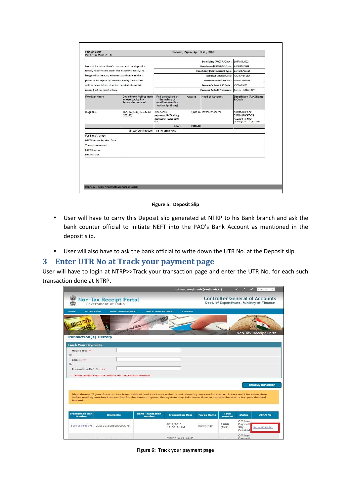| <b>Bharat Kneh</b><br>Toll tree No 1300 118 1111                |                                                                | Deposit / Pay-in-slip - NEFT / RTGS                                             |                 |                                                 |                                                                          |  |  |  |
|-----------------------------------------------------------------|----------------------------------------------------------------|---------------------------------------------------------------------------------|-----------------|-------------------------------------------------|--------------------------------------------------------------------------|--|--|--|
|                                                                 |                                                                |                                                                                 |                 | Beneficiary (PAO) A/C No. : 10578801002         |                                                                          |  |  |  |
| Note : Officials at Bank's counter and the depositor            |                                                                |                                                                                 |                 | Beneticiary (PAD) IEM: Code : RBINDMBPAD4       |                                                                          |  |  |  |
| himself/horself nood to ensure that the remitter Bank A/c no.   |                                                                |                                                                                 |                 | Beneficiary (PAO) Account Type + Current Accout |                                                                          |  |  |  |
| being used for the NEFT/ FTGS Instruction is same as what is    |                                                                |                                                                                 |                 | Remitter's Bank Name: CC BANK LTD               |                                                                          |  |  |  |
| printed on this deposit tip. Any error in entry of this A/c no. |                                                                |                                                                                 |                 | Remitter's Bank A/C No.: 107001509239           |                                                                          |  |  |  |
| will cad to non delivery of services expected in lieu of this   |                                                                |                                                                                 |                 | Flemitter's Bank IFSC Code:                     | CIC0001070                                                               |  |  |  |
| payment to Government of India.                                 |                                                                |                                                                                 |                 | Fayment Perlod/ Frequency: Annual, 2016-2017    |                                                                          |  |  |  |
| <b>Remitter Name</b>                                            | Department / office from<br>whose books the<br>demand emanated | Full particulars of<br>the nature of<br>remittance and/or<br>authority (if any) | Amount          | <b>Head of Account</b>                          | Beneficiary (PAO)Name<br>& Code                                          |  |  |  |
| <b>Flamit Nair</b>                                              | DDO, SO Cash), New Delhi<br>(205155)                           | WPC SACEA<br>payments, SACFA siting<br>application registration<br>tee          |                 | 2,000.00 127500103050200                        | CONTROLLER OF<br>COMMUNICATION<br>ACCOUNTS, PAO<br>HEALK WARTER (077188) |  |  |  |
|                                                                 |                                                                | total:                                                                          | <b>FARREAMY</b> |                                                 |                                                                          |  |  |  |
|                                                                 | (In worde) Rupees: Two Thousand Only                           |                                                                                 |                 |                                                 |                                                                          |  |  |  |
| For Bank's Usage                                                |                                                                |                                                                                 |                 |                                                 |                                                                          |  |  |  |
| NEFT Request Received Date                                      |                                                                |                                                                                 |                 |                                                 |                                                                          |  |  |  |
| <b>Transaction Amount</b>                                       |                                                                |                                                                                 |                 |                                                 |                                                                          |  |  |  |
| NEFT Cherges                                                    |                                                                |                                                                                 |                 |                                                 |                                                                          |  |  |  |
| NEED IX No.                                                     |                                                                |                                                                                 |                 |                                                 |                                                                          |  |  |  |

**Figure 5: Deposit Slip**

- User will have to carry this Deposit slip generated at NTRP to his Bank branch and ask the bank counter official to initiate NEFT into the PAO's Bank Account as mentioned in the deposit slip.
- User will also have to ask the bank official to write down the UTR No. at the Deposit slip.

#### **3 Enter UTR No at Track your payment page**

User will have to login at NTRP>>Track your transaction page and enter the UTR No. for each such transaction done at NTRP.

|                                          |                                                                                                                                                                                                                                                              |                                          |                         | Welcome: Ranjit Nair[ranjitnair91] |                               | z.<br>æ             | English<br>ж.                                                                      |
|------------------------------------------|--------------------------------------------------------------------------------------------------------------------------------------------------------------------------------------------------------------------------------------------------------------|------------------------------------------|-------------------------|------------------------------------|-------------------------------|---------------------|------------------------------------------------------------------------------------|
|                                          | <b>Non-Tax Receipt Portal</b><br>Government of India                                                                                                                                                                                                         |                                          |                         |                                    |                               |                     | <b>Controller General of Accounts</b><br>Dept. of Expenditure, Ministry of Finance |
| <b>HOME</b><br><b>MY ACCOUNT</b>         | <b>MAKE YOUR PAYMENT</b>                                                                                                                                                                                                                                     | <b>TRACK YOUR PAYMENT</b>                | LOGOUT                  |                                    |                               |                     |                                                                                    |
|                                          |                                                                                                                                                                                                                                                              | Rend die weresare of                     |                         |                                    |                               |                     |                                                                                    |
|                                          |                                                                                                                                                                                                                                                              |                                          |                         |                                    |                               |                     | Non-Tax Receipt Portal                                                             |
| <b>Transaction(s) History</b>            |                                                                                                                                                                                                                                                              |                                          |                         |                                    |                               |                     |                                                                                    |
| <b>Track Your Payments</b>               |                                                                                                                                                                                                                                                              |                                          |                         |                                    |                               |                     |                                                                                    |
| Mobile No: **<br>Or.                     |                                                                                                                                                                                                                                                              |                                          |                         |                                    |                               |                     |                                                                                    |
| Email : **                               |                                                                                                                                                                                                                                                              |                                          |                         |                                    |                               |                     |                                                                                    |
| Оr                                       |                                                                                                                                                                                                                                                              |                                          |                         |                                    |                               |                     |                                                                                    |
| Transaction Ref. No. **                  |                                                                                                                                                                                                                                                              |                                          |                         |                                    |                               |                     |                                                                                    |
|                                          | ** "Enter Either EMail OR Mobile No. OR Receipt Number."                                                                                                                                                                                                     |                                          |                         |                                    |                               |                     |                                                                                    |
|                                          |                                                                                                                                                                                                                                                              |                                          |                         |                                    |                               |                     |                                                                                    |
|                                          |                                                                                                                                                                                                                                                              |                                          |                         |                                    |                               |                     | <b>Show My Transaction</b>                                                         |
|                                          |                                                                                                                                                                                                                                                              |                                          |                         |                                    |                               |                     |                                                                                    |
|                                          | Disclaimer:- If your Account has been debited and the transaction is not showing successful status, Please wait for some time<br>before making another transaction for the same purpose, the system may take some time to update the status for your debited |                                          |                         |                                    |                               |                     |                                                                                    |
| Amount.                                  |                                                                                                                                                                                                                                                              |                                          |                         |                                    |                               |                     |                                                                                    |
|                                          |                                                                                                                                                                                                                                                              |                                          |                         |                                    |                               |                     |                                                                                    |
| <b>Transaction Ref.</b><br><b>Number</b> | ChallanNo                                                                                                                                                                                                                                                    | <b>Bank Transaction</b><br><b>Number</b> | <b>Transaction Date</b> | <b>Payee Name</b>                  | <b>Total</b><br><b>Amount</b> | <b>Status</b>       | <b>UTRN No</b>                                                                     |
|                                          |                                                                                                                                                                                                                                                              |                                          | 8/11/2016               |                                    | 2000                          | Offline-<br>Deposit |                                                                                    |
| 1108160000275                            | 20515511081600000275                                                                                                                                                                                                                                         |                                          | 12:50:34 PM             | Ranjit Nair                        | (INR)                         | Slip<br>Created     | Enter UTRN No.                                                                     |
|                                          |                                                                                                                                                                                                                                                              |                                          |                         |                                    |                               |                     |                                                                                    |

**Figure 6: Track your payment page**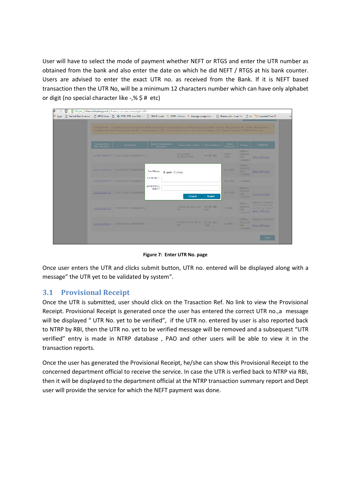User will have to select the mode of payment whether NEFT or RTGS and enter the UTR number as obtained from the bank and also enter the date on which he did NEFT / RTGS at his bank counter. Users are advised to enter the exact UTR no. as received from the Bank. If it is NEFT based transaction then the UTR No, will be a minimum 12 characters number which can have only alphabet or digit (no special character like  $-$ ,% \$ # etc)

|                            | # Apps [] Central Plan Scheme   [P PFMS local [] ⓒ FTPS (FTP sver SSL) » P CPSMS Local G NTTPP - Demp G Manage exceptions - [] Bharstvosh - User Re : [P zx P ] Imported From ID                                                                                     |                                     |                                        |                           |                      |                                                                |                                                                                   |
|----------------------------|----------------------------------------------------------------------------------------------------------------------------------------------------------------------------------------------------------------------------------------------------------------------|-------------------------------------|----------------------------------------|---------------------------|----------------------|----------------------------------------------------------------|-----------------------------------------------------------------------------------|
|                            | Discialmen: If your Account has been debited and the transaction is not showing successful status. Please wait for some time before<br>making and ker transaction for the same purpose, the system may take some time in opticic the status for your debited Amount. |                                     |                                        |                           |                      |                                                                |                                                                                   |
| Tramaction<br>Ref. Manuber | Challenthe                                                                                                                                                                                                                                                           | Bank Transaction<br><b>Number</b>   | <b>Trainaction Date</b>                | <b>Payer Hette</b>        | :Total<br>AmusumL    | <b>States</b>                                                  | <b>UTRM No</b>                                                                    |
|                            | 1100150000275 15515511061600000275                                                                                                                                                                                                                                   |                                     | 0/11/2016<br>12:50:34.761              | tranjit flair             | 2000<br><b>ITNR1</b> | Uffline-<br>Densch<br><b>Slip</b><br><b>Urented</b>            | <b>Enter Imma Ho.</b>                                                             |
|                            | J50/15000LUS1 2334596567160000005                                                                                                                                                                                                                                    | Pay Mode:<br><b>ID NEET CIRTICS</b> |                                        |                           | J.2 (THR)            | <b>COTTON</b><br><b>Depart</b><br>Slip.<br><b>Lingtod</b>      | Enter UTD 4 No.                                                                   |
|                            | 160615000CC75 21345916U616U6000007                                                                                                                                                                                                                                   | UTRIVING®                           |                                        |                           | $10$ (JUR)           | Lieated                                                        |                                                                                   |
|                            | 2005153000098 2051502000100000000                                                                                                                                                                                                                                    | NEET/RINGS<br>Exiter"               | Cancel                                 | Subrail                   | <b>CHILL O.D.</b>    | <b>OBBIEN-</b><br><b>Ueposit</b><br><b>SII</b> b<br>Cittadani. | Linte Ul Min No.                                                                  |
| <b>JUINTA RATH LINE</b>    | 33515530651600000006                                                                                                                                                                                                                                                 |                                     | DAILY 4147123<br><b>DW</b>             | <b>Ranit Nair</b><br>test | S (TNR)              | Officer-<br>Deposit<br><b>Silp</b><br>Critislavil              | <b>UUUUIISUOUFI</b><br>UTIL Mo yet to be<br>verified by swirten<br>Enter UTPN No. |
|                            | 2005150000634 2051552005160000009+                                                                                                                                                                                                                                   |                                     | 5/20/2016 4:45:11 Runjil Natio<br>DAY: | Test                      | $S$ (ENR)            | <b>DEBIGH</b><br>Thirpment.<br>Slip:<br><b>Unauturd</b>        | 000011596029<br>Enter UTP 7 No.                                                   |

**Figure 7: Enter UTR No. page**

Once user enters the UTR and clicks submit button, UTR no. entered will be displayed along with a message" the UTR yet to be validated by system".

#### **3.1 Provisional Receipt**

Once the UTR is submitted, user should click on the Trasaction Ref. No link to view the Provisional Receipt. Provisional Receipt is generated once the user has entered the correct UTR no.,a message will be displayed " UTR No. yet to be verified", if the UTR no. entered by user is also reported back to NTRP by RBI, then the UTR no. yet to be verified message will be removed and a subsequest "UTR verified" entry is made in NTRP database , PAO and other users will be able to view it in the transaction reports.

Once the user has generated the Provisional Receipt, he/she can show this Provisional Receipt to the concerned department official to receive the service. In case the UTR is verfied back to NTRP via RBI, then it will be displayed to the department official at the NTRP transaction summary report and Dept user will provide the service for which the NEFT payment was done.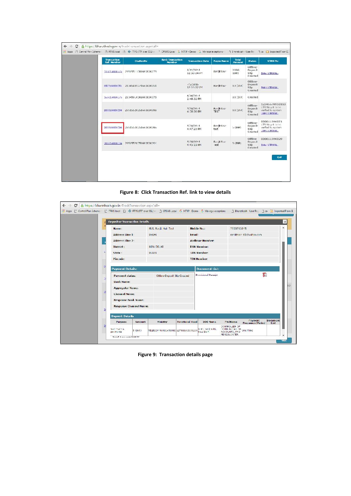| <b>Transaction</b><br><b>Ref. Number</b> | ChallanNu                           | <b>Bank Transaction</b><br><b>Number</b> | <b>Transaction Date</b>  | <b>Payee Name</b>   | Total<br><b>Amount</b> | <b>Status</b>                             | <b>UTRN No</b>                                                              |
|------------------------------------------|-------------------------------------|------------------------------------------|--------------------------|---------------------|------------------------|-------------------------------------------|-----------------------------------------------------------------------------|
| 1106150000275                            | 20515511081600000225                |                                          | 8/11/2016<br>12:50:34 PM | Ranjit Nair         | 2000<br>(INR)          | Offline-<br>Deposit<br>Slip<br>Created    | Enter UTRN No.                                                              |
|                                          | 0507150000051 213459050716000000051 |                                          | 7/5/2016<br>12:10:52 PM  | Ranjit Nair         | 12 (INK)               | Offline-<br>Deposit<br>$S$ lip<br>Created | Enter LTRN No.                                                              |
| 1606150000075                            | 21345916061600000075                |                                          | 6/16/2016<br>2:48:32 PM  |                     | 10 (INR)               | Created                                   |                                                                             |
| 2005150000098                            | 20515520051600000098                |                                          | 5/20/2016<br>4:50:30 PM  | Ranjit Nair<br>TEST | 10 (JVR)               | Offline-<br>Deposit<br>Slip<br>Created    | 123456/8910110<br>LITR No yell to be<br>verfied by system<br>Inter LIRN No. |
| 2005150000096                            | 20515520051600000096                |                                          | 5/20/2016<br>4:47:23 PM  | Ranjit Nair<br>test | $D$ (LNR)              | Uffline-<br>Denosit<br>Slip<br>Created    | 000011596071<br>LITR No yet in her<br>verfied by system<br>Inter LIBN No.   |
| 2005150000004                            | 20515520051600000094                |                                          | 5/20/2016<br>4:45:11 PM  | Ranjil Nair<br>lest | $5$ ( $fNR$ )          | offline<br>Deposit<br>Slip<br>Created     | 000011596029<br>Enter UTRN No.                                              |
|                                          |                                     |                                          |                          |                     |                        |                                           | <b>Quit</b>                                                                 |

**Figure 8: Click Transaction Ref. link to view details**

| E Apps [" Central Plan Scheme [   TFMS local [ ] < FTPS (FTP over SSL) v: [ ] CPSMS Local G NTRP Demo G Manage exceptions |                               |           |                                     |                        |                               |                                                                       | Sharatkosh User Res 3 zx 3 Imported From IE |                         |
|---------------------------------------------------------------------------------------------------------------------------|-------------------------------|-----------|-------------------------------------|------------------------|-------------------------------|-----------------------------------------------------------------------|---------------------------------------------|-------------------------|
|                                                                                                                           | Depositor Transaction Details |           |                                     |                        |                               |                                                                       |                                             |                         |
|                                                                                                                           | Name:                         |           | M/S. Raniil Nair Test               |                        | Mobile No.:                   | 7503753815                                                            |                                             | $\Delta$                |
|                                                                                                                           | Address Line 1:               |           | <b>UELHI</b>                        | Email:                 |                               |                                                                       | ranjitnair 91@vahoo.com                     |                         |
|                                                                                                                           | Address Line 2:               |           |                                     |                        | Aadhaar Number:               |                                                                       |                                             |                         |
|                                                                                                                           | District:                     |           | NEW DELHI                           |                        | <b>PAN Number:</b>            |                                                                       |                                             |                         |
|                                                                                                                           | State:                        |           | <b>DLLIIL</b>                       |                        | <b>IAN Number:</b>            |                                                                       |                                             |                         |
|                                                                                                                           | Pincode:                      |           |                                     |                        | <b>TIN Number:</b>            |                                                                       |                                             |                         |
|                                                                                                                           | <b>Payment status:</b>        |           | <b>Offline-Deposit Slip Created</b> |                        | Provisional Receipt           |                                                                       |                                             |                         |
|                                                                                                                           | <b>Bank Name:</b>             |           |                                     |                        |                               |                                                                       |                                             |                         |
|                                                                                                                           | <b>Augreuator Name:</b>       |           |                                     |                        |                               |                                                                       |                                             |                         |
|                                                                                                                           | <b>Channel Name:</b>          |           |                                     |                        |                               |                                                                       |                                             |                         |
|                                                                                                                           | <b>Response Bank Name:</b>    |           |                                     |                        |                               |                                                                       |                                             |                         |
| $\overline{2}$                                                                                                            | <b>Response Channel Name:</b> |           |                                     |                        |                               |                                                                       |                                             |                         |
|                                                                                                                           | <b>Deposit Details</b>        |           |                                     |                        |                               |                                                                       |                                             |                         |
|                                                                                                                           | Purpose                       | Amount    | Ministry                            | <b>Functional Head</b> | <b>DDO Name</b>               | PAOName                                                               | Payment<br>Frequency/Period                 | <b>Document</b><br>List |
| 2                                                                                                                         | WHISAIIA<br>payments          | $5$ (INR) | TELECOMMUNICATIONS 127500103050200  |                        | DIX), 50 (Cash),<br>Now Do hi | CONTROLLER OF<br>COMMUNICATION<br>ACCOUNTS, PAD<br><b>HEADOUARTER</b> |                                             | $\overline{\mathbf{v}}$ |

**Figure 9: Transaction details page**